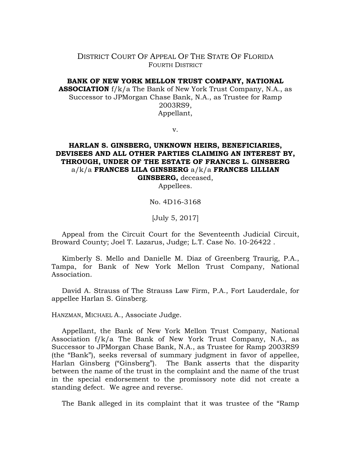## DISTRICT COURT OF APPEAL OF THE STATE OF FLORIDA FOURTH DISTRICT

## **BANK OF NEW YORK MELLON TRUST COMPANY, NATIONAL**

**ASSOCIATION** f/k/a The Bank of New York Trust Company, N.A., as Successor to JPMorgan Chase Bank, N.A., as Trustee for Ramp 2003RS9, Appellant,

v.

## **HARLAN S. GINSBERG, UNKNOWN HEIRS, BENEFICIARIES, DEVISEES AND ALL OTHER PARTIES CLAIMING AN INTEREST BY, THROUGH, UNDER OF THE ESTATE OF FRANCES L. GINSBERG**  a/k/a **FRANCES LILA GINSBERG** a/k/a **FRANCES LILLIAN GINSBERG,** deceased,

Appellees.

No. 4D16-3168

[July 5, 2017]

Appeal from the Circuit Court for the Seventeenth Judicial Circuit, Broward County; Joel T. Lazarus, Judge; L.T. Case No. 10-26422 .

Kimberly S. Mello and Danielle M. Diaz of Greenberg Traurig, P.A., Tampa, for Bank of New York Mellon Trust Company, National Association.

David A. Strauss of The Strauss Law Firm, P.A., Fort Lauderdale, for appellee Harlan S. Ginsberg.

HANZMAN, MICHAEL A., Associate Judge.

Appellant, the Bank of New York Mellon Trust Company, National Association f/k/a The Bank of New York Trust Company, N.A., as Successor to JPMorgan Chase Bank, N.A., as Trustee for Ramp 2003RS9 (the "Bank"), seeks reversal of summary judgment in favor of appellee, Harlan Ginsberg ("Ginsberg"). The Bank asserts that the disparity between the name of the trust in the complaint and the name of the trust in the special endorsement to the promissory note did not create a standing defect. We agree and reverse.

The Bank alleged in its complaint that it was trustee of the "Ramp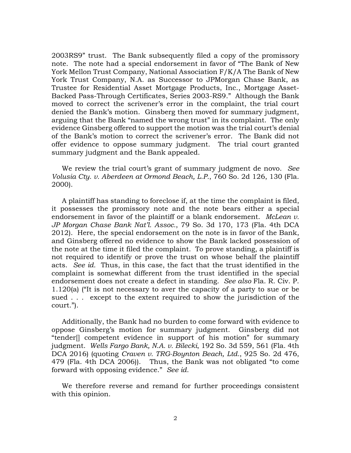2003RS9" trust. The Bank subsequently filed a copy of the promissory note. The note had a special endorsement in favor of "The Bank of New York Mellon Trust Company, National Association F/K/A The Bank of New York Trust Company, N.A. as Successor to JPMorgan Chase Bank, as Trustee for Residential Asset Mortgage Products, Inc., Mortgage Asset-Backed Pass-Through Certificates, Series 2003-RS9." Although the Bank moved to correct the scrivener's error in the complaint, the trial court denied the Bank's motion. Ginsberg then moved for summary judgment, arguing that the Bank "named the wrong trust" in its complaint. The only evidence Ginsberg offered to support the motion was the trial court's denial of the Bank's motion to correct the scrivener's error. The Bank did not offer evidence to oppose summary judgment. The trial court granted summary judgment and the Bank appealed.

We review the trial court's grant of summary judgment de novo. *See Volusia Cty. v. Aberdeen at Ormond Beach, L.P.*, 760 So. 2d 126, 130 (Fla. 2000).

A plaintiff has standing to foreclose if, at the time the complaint is filed, it possesses the promissory note and the note bears either a special endorsement in favor of the plaintiff or a blank endorsement. *McLean v. JP Morgan Chase Bank Nat'l. Assoc.*, 79 So. 3d 170, 173 (Fla. 4th DCA 2012). Here, the special endorsement on the note is in favor of the Bank, and Ginsberg offered no evidence to show the Bank lacked possession of the note at the time it filed the complaint. To prove standing, a plaintiff is not required to identify or prove the trust on whose behalf the plaintiff acts. *See id.* Thus, in this case, the fact that the trust identified in the complaint is somewhat different from the trust identified in the special endorsement does not create a defect in standing. *See also* Fla. R. Civ. P. 1.120(a) ("It is not necessary to aver the capacity of a party to sue or be sued . . . except to the extent required to show the jurisdiction of the court.").

Additionally, the Bank had no burden to come forward with evidence to oppose Ginsberg's motion for summary judgment. Ginsberg did not "tender[] competent evidence in support of his motion" for summary judgment. *Wells Fargo Bank, N.A. v. Bilecki*, 192 So. 3d 559, 561 (Fla. 4th DCA 2016) (quoting *Craven v. TRG-Boynton Beach, Ltd.*, 925 So. 2d 476, 479 (Fla. 4th DCA 2006)). Thus, the Bank was not obligated "to come forward with opposing evidence." *See id.* 

We therefore reverse and remand for further proceedings consistent with this opinion.